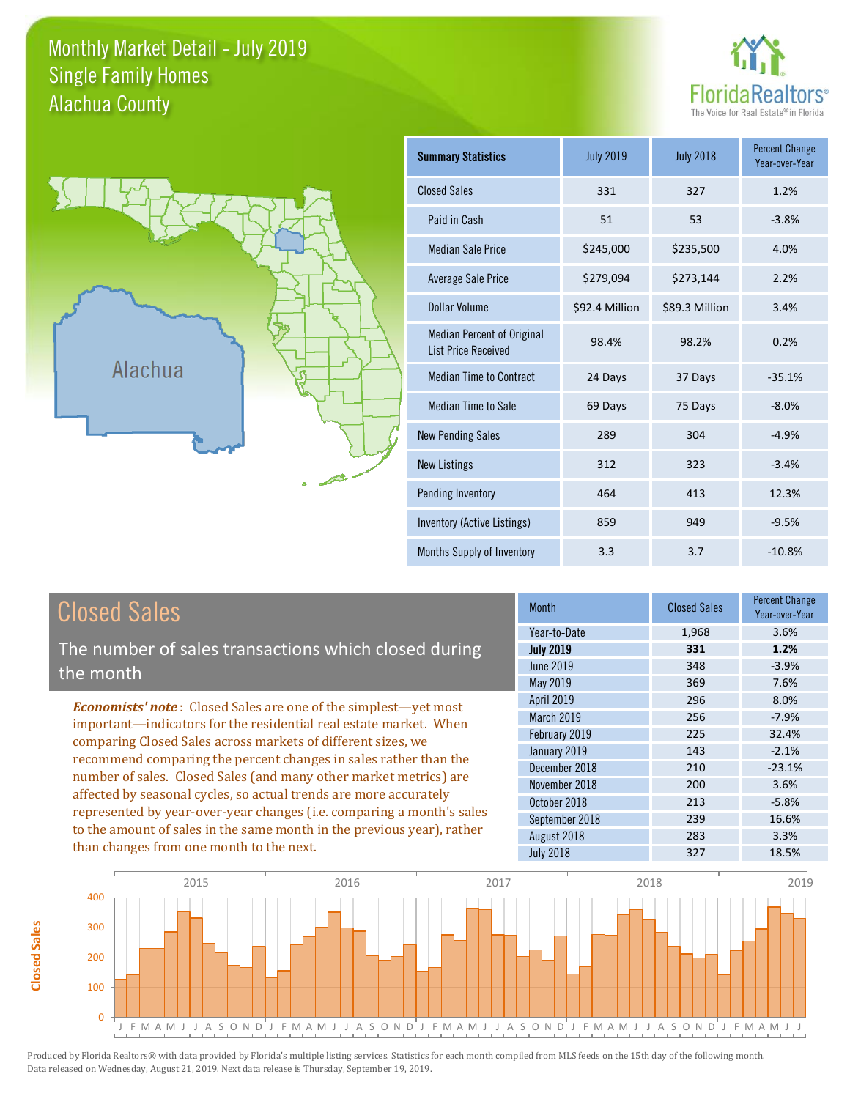### Monthly Market Detail - July 2019 Alachua County Single Family Homes





**Closed Sales**

**Closed Sales** 

| <b>Summary Statistics</b>                                       | <b>July 2019</b> | <b>July 2018</b> | <b>Percent Change</b><br>Year-over-Year |
|-----------------------------------------------------------------|------------------|------------------|-----------------------------------------|
| <b>Closed Sales</b>                                             | 331              | 327              | 1.2%                                    |
| Paid in Cash                                                    | 51               | 53               | $-3.8%$                                 |
| <b>Median Sale Price</b>                                        | \$245,000        | \$235,500        | 4.0%                                    |
| <b>Average Sale Price</b>                                       | \$279,094        | \$273,144        | 2.2%                                    |
| Dollar Volume                                                   | \$92.4 Million   | \$89.3 Million   | 3.4%                                    |
| <b>Median Percent of Original</b><br><b>List Price Received</b> | 98.4%            | 98.2%            | 0.2%                                    |
| <b>Median Time to Contract</b>                                  | 24 Days          | 37 Days          | $-35.1%$                                |
| <b>Median Time to Sale</b>                                      | 69 Days          | 75 Days          | $-8.0%$                                 |
| <b>New Pending Sales</b>                                        | 289              | 304              | $-4.9%$                                 |
| <b>New Listings</b>                                             | 312              | 323              | $-3.4%$                                 |
| Pending Inventory                                               | 464              | 413              | 12.3%                                   |
| Inventory (Active Listings)                                     | 859              | 949              | $-9.5%$                                 |
| Months Supply of Inventory                                      | 3.3              | 3.7              | $-10.8%$                                |

| <b>Closed Sales</b>                                                                                                                                                                                                                                                                 | <b>Month</b>      | <b>Closed Sales</b> | Percent Change<br>Year-over-Year |
|-------------------------------------------------------------------------------------------------------------------------------------------------------------------------------------------------------------------------------------------------------------------------------------|-------------------|---------------------|----------------------------------|
|                                                                                                                                                                                                                                                                                     | Year-to-Date      | 1,968               | 3.6%                             |
| The number of sales transactions which closed during                                                                                                                                                                                                                                | <b>July 2019</b>  | 331                 | 1.2%                             |
| the month                                                                                                                                                                                                                                                                           | June 2019         | 348                 | $-3.9%$                          |
|                                                                                                                                                                                                                                                                                     | May 2019          | 369                 | 7.6%                             |
| <b>Economists' note:</b> Closed Sales are one of the simplest—yet most                                                                                                                                                                                                              | <b>April 2019</b> | 296                 | 8.0%                             |
| important-indicators for the residential real estate market. When                                                                                                                                                                                                                   | <b>March 2019</b> | 256                 | $-7.9%$                          |
| comparing Closed Sales across markets of different sizes, we                                                                                                                                                                                                                        | February 2019     | 225                 | 32.4%                            |
| recommend comparing the percent changes in sales rather than the<br>number of sales. Closed Sales (and many other market metrics) are<br>affected by seasonal cycles, so actual trends are more accurately<br>represented by year-over-year changes (i.e. comparing a month's sales | January 2019      | 143                 | $-2.1%$                          |
|                                                                                                                                                                                                                                                                                     | December 2018     | 210                 | $-23.1%$                         |
|                                                                                                                                                                                                                                                                                     | November 2018     | 200                 | 3.6%                             |
|                                                                                                                                                                                                                                                                                     | October 2018      | 213                 | $-5.8%$                          |
|                                                                                                                                                                                                                                                                                     | September 2018    | 239                 | 16.6%                            |
| to the amount of sales in the same month in the previous year), rather                                                                                                                                                                                                              | August 2018       | 283                 | 3.3%                             |
| than changes from one month to the next.                                                                                                                                                                                                                                            | <b>July 2018</b>  | 327                 | 18.5%                            |
|                                                                                                                                                                                                                                                                                     |                   |                     |                                  |

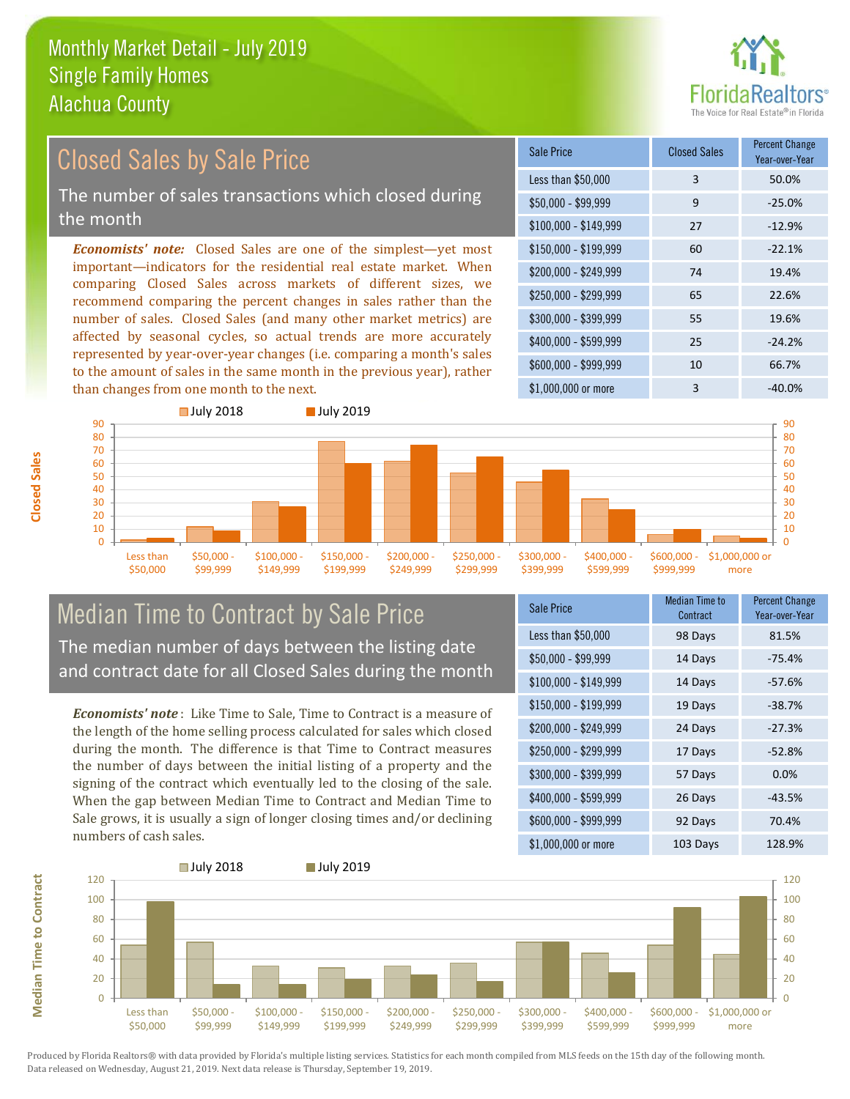than changes from one month to the next.



### *Economists' note:* Closed Sales are one of the simplest—yet most important—indicators for the residential real estate market. When comparing Closed Sales across markets of different sizes, we recommend comparing the percent changes in sales rather than the number of sales. Closed Sales (and many other market metrics) are affected by seasonal cycles, so actual trends are more accurately represented by year-over-year changes (i.e. comparing a month's sales to the amount of sales in the same month in the previous year), rather \$250,000 - \$299,999 65 22.6% \$300,000 - \$399,999 55 19.6% \$400,000 - \$599,999 25 -24.2% \$600,000 - \$999,999 10 66.7% \$150,000 - \$199,999 60 -22.1% \$200,000 - \$249,999 74 19.4% \$100,000 - \$149,999 27 -12.9% Sale Price Closed Sales Percent Change Year-over-Year Less than \$50,000 3 50.0%  $$50.000 - $99.999$  9 -25.0% Closed Sales by Sale Price The number of sales transactions which closed during the month



### Median Time to Contract by Sale Price The median number of days between the listing date and contract date for all Closed Sales during the month

*Economists' note* : Like Time to Sale, Time to Contract is a measure of the length of the home selling process calculated for sales which closed during the month. The difference is that Time to Contract measures the number of days between the initial listing of a property and the signing of the contract which eventually led to the closing of the sale. When the gap between Median Time to Contract and Median Time to Sale grows, it is usually a sign of longer closing times and/or declining numbers of cash sales.

| Sale Price            | <b>Median Time to</b><br>Contract | <b>Percent Change</b><br>Year-over-Year |
|-----------------------|-----------------------------------|-----------------------------------------|
| Less than \$50,000    | 98 Days                           | 81.5%                                   |
| $$50,000 - $99,999$   | 14 Days                           | $-75.4%$                                |
| $$100,000 - $149,999$ | 14 Days                           | $-57.6%$                                |
| \$150,000 - \$199,999 | 19 Days                           | $-38.7%$                                |
| \$200,000 - \$249,999 | 24 Days                           | $-27.3%$                                |
| \$250,000 - \$299,999 | 17 Days                           | $-52.8%$                                |
| \$300,000 - \$399,999 | 57 Days                           | 0.0%                                    |
| \$400,000 - \$599,999 | 26 Days                           | $-43.5%$                                |
| \$600,000 - \$999,999 | 92 Days                           | 70.4%                                   |
| \$1,000,000 or more   | 103 Days                          | 128.9%                                  |

\$1,000,000 or more 3 3 -40.0%



**Closed Sales**

**Median Time to Contract Median Time to Contract**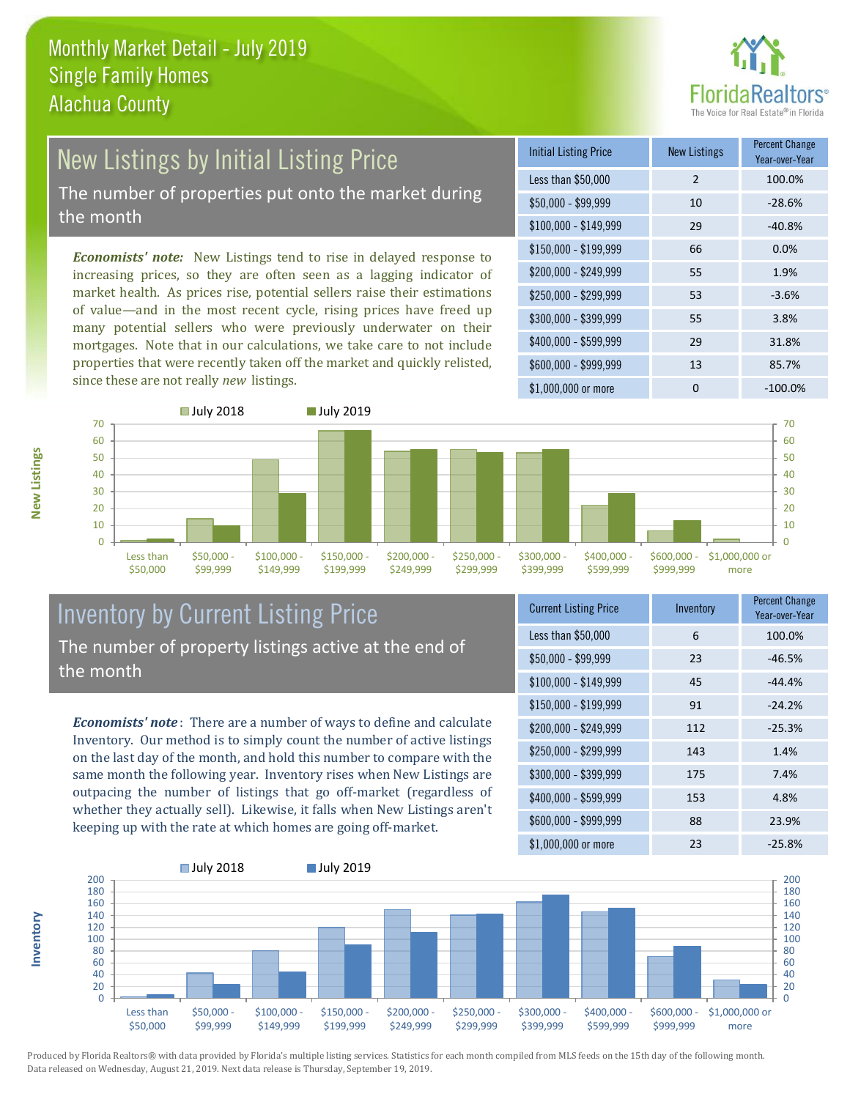

## New Listings by Initial Listing Price The number of properties put onto the market during

the month

*Economists' note:* New Listings tend to rise in delayed response to increasing prices, so they are often seen as a lagging indicator of market health. As prices rise, potential sellers raise their estimations of value—and in the most recent cycle, rising prices have freed up many potential sellers who were previously underwater on their mortgages. Note that in our calculations, we take care to not include properties that were recently taken off the market and quickly relisted, since these are not really *new* listings.

| <b>Initial Listing Price</b> | <b>New Listings</b> | <b>Percent Change</b><br>Year-over-Year |
|------------------------------|---------------------|-----------------------------------------|
| Less than \$50,000           | $\overline{2}$      | 100.0%                                  |
| $$50,000 - $99,999$          | 10                  | $-28.6%$                                |
| $$100,000 - $149,999$        | 29                  | $-40.8%$                                |
| $$150,000 - $199,999$        | 66                  | 0.0%                                    |
| \$200,000 - \$249,999        | 55                  | 1.9%                                    |
| \$250,000 - \$299,999        | 53                  | $-3.6%$                                 |
| \$300,000 - \$399,999        | 55                  | 3.8%                                    |
| \$400,000 - \$599,999        | 29                  | 31.8%                                   |
| \$600,000 - \$999,999        | 13                  | 85.7%                                   |
| \$1,000,000 or more          | O                   | $-100.0\%$                              |



### Inventory by Current Listing Price The number of property listings active at the end of the month

*Economists' note* : There are a number of ways to define and calculate Inventory. Our method is to simply count the number of active listings on the last day of the month, and hold this number to compare with the same month the following year. Inventory rises when New Listings are outpacing the number of listings that go off-market (regardless of whether they actually sell). Likewise, it falls when New Listings aren't keeping up with the rate at which homes are going off-market.

| <b>Current Listing Price</b> | Inventory | <b>Percent Change</b><br>Year-over-Year |
|------------------------------|-----------|-----------------------------------------|
| Less than \$50,000           | 6         | 100.0%                                  |
| $$50,000 - $99,999$          | 23        | $-46.5%$                                |
| $$100,000 - $149,999$        | 45        | $-44.4%$                                |
| \$150,000 - \$199,999        | 91        | $-24.2%$                                |
| \$200,000 - \$249,999        | 112       | $-25.3%$                                |
| \$250,000 - \$299,999        | 143       | 1.4%                                    |
| \$300,000 - \$399,999        | 175       | 7.4%                                    |
| \$400,000 - \$599,999        | 153       | 4.8%                                    |
| \$600,000 - \$999,999        | 88        | 23.9%                                   |
| \$1,000,000 or more          | 23        | $-25.8%$                                |



Produced by Florida Realtors® with data provided by Florida's multiple listing services. Statistics for each month compiled from MLS feeds on the 15th day of the following month. Data released on Wednesday, August 21, 2019. Next data release is Thursday, September 19, 2019.

**Inventory**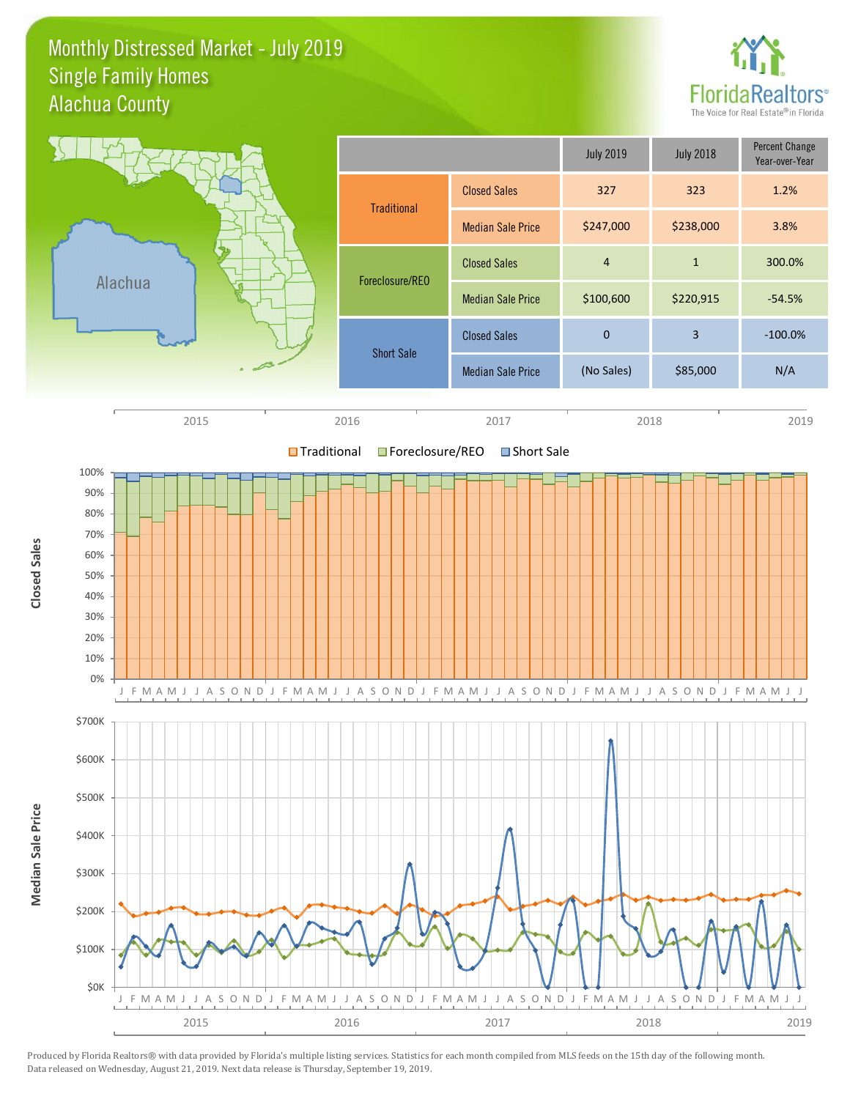### Monthly Distressed Market - July 2019 Alachua County Single Family Homes



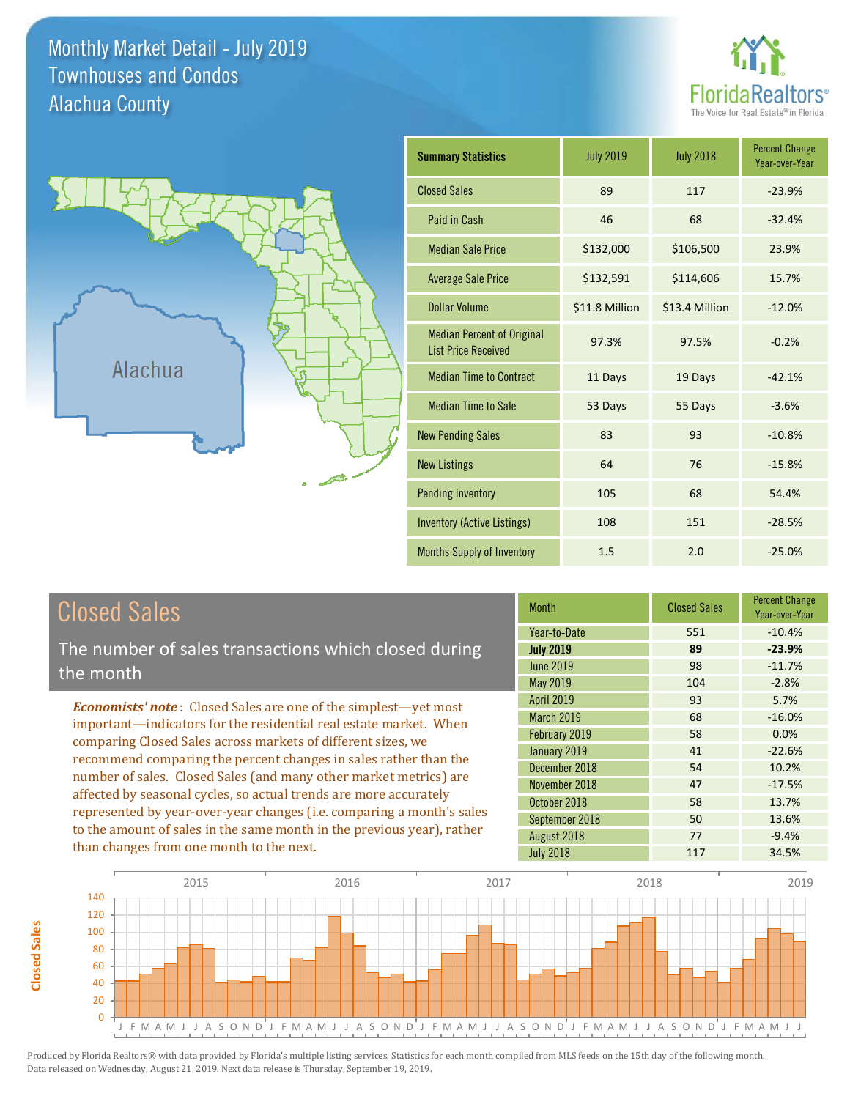Monthly Market Detail - July 2019 Alachua County Townhouses and Condos

**Closed Sales**

**Closed Sales** 





| <b>Summary Statistics</b>                                       | <b>July 2019</b> | <b>July 2018</b> | <b>Percent Change</b><br>Year-over-Year |
|-----------------------------------------------------------------|------------------|------------------|-----------------------------------------|
| <b>Closed Sales</b>                                             | 89               | 117              | $-23.9%$                                |
| Paid in Cash                                                    | 46               | 68               | $-32.4%$                                |
| <b>Median Sale Price</b>                                        | \$132,000        | \$106,500        | 23.9%                                   |
| <b>Average Sale Price</b>                                       | \$132,591        | \$114,606        | 15.7%                                   |
| <b>Dollar Volume</b>                                            | \$11.8 Million   | \$13.4 Million   | $-12.0%$                                |
| <b>Median Percent of Original</b><br><b>List Price Received</b> | 97.3%            | 97.5%            | $-0.2%$                                 |
| <b>Median Time to Contract</b>                                  | 11 Days          | 19 Days          | $-42.1%$                                |
| <b>Median Time to Sale</b>                                      | 53 Days          | 55 Days          | $-3.6%$                                 |
| <b>New Pending Sales</b>                                        | 83               | 93               | $-10.8%$                                |
| <b>New Listings</b>                                             | 64               | 76               | $-15.8%$                                |
| <b>Pending Inventory</b>                                        | 105              | 68               | 54.4%                                   |
| <b>Inventory (Active Listings)</b>                              | 108              | 151              | $-28.5%$                                |
| Months Supply of Inventory                                      | 1.5              | 2.0              | $-25.0%$                                |

| <b>Closed Sales</b>                                                                                                                                                                                                                                                        | <b>Month</b>      | <b>Closed Sales</b> | <b>Percent Change</b><br>Year-over-Year |
|----------------------------------------------------------------------------------------------------------------------------------------------------------------------------------------------------------------------------------------------------------------------------|-------------------|---------------------|-----------------------------------------|
|                                                                                                                                                                                                                                                                            | Year-to-Date      | 551                 | $-10.4%$                                |
| The number of sales transactions which closed during                                                                                                                                                                                                                       | <b>July 2019</b>  | 89                  | $-23.9%$                                |
| the month                                                                                                                                                                                                                                                                  | <b>June 2019</b>  | 98                  | $-11.7%$                                |
|                                                                                                                                                                                                                                                                            | May 2019          | 104                 | $-2.8%$                                 |
| <b>Economists' note:</b> Closed Sales are one of the simplest—yet most                                                                                                                                                                                                     | <b>April 2019</b> | 93                  | 5.7%                                    |
| important-indicators for the residential real estate market. When                                                                                                                                                                                                          | March 2019        | 68                  | $-16.0%$                                |
| comparing Closed Sales across markets of different sizes, we<br>recommend comparing the percent changes in sales rather than the<br>number of sales. Closed Sales (and many other market metrics) are<br>affected by seasonal cycles, so actual trends are more accurately | February 2019     | 58                  | $0.0\%$                                 |
|                                                                                                                                                                                                                                                                            | January 2019      | 41                  | $-22.6%$                                |
|                                                                                                                                                                                                                                                                            | December 2018     | 54                  | 10.2%                                   |
|                                                                                                                                                                                                                                                                            | November 2018     | 47                  | $-17.5%$                                |
|                                                                                                                                                                                                                                                                            | October 2018      | 58                  | 13.7%                                   |
| represented by year-over-year changes (i.e. comparing a month's sales                                                                                                                                                                                                      | September 2018    | 50                  | 13.6%                                   |
| to the amount of sales in the same month in the previous year), rather                                                                                                                                                                                                     | August 2018       | 77                  | $-9.4%$                                 |
| than changes from one month to the next.                                                                                                                                                                                                                                   | <b>July 2018</b>  | 117                 | 34.5%                                   |

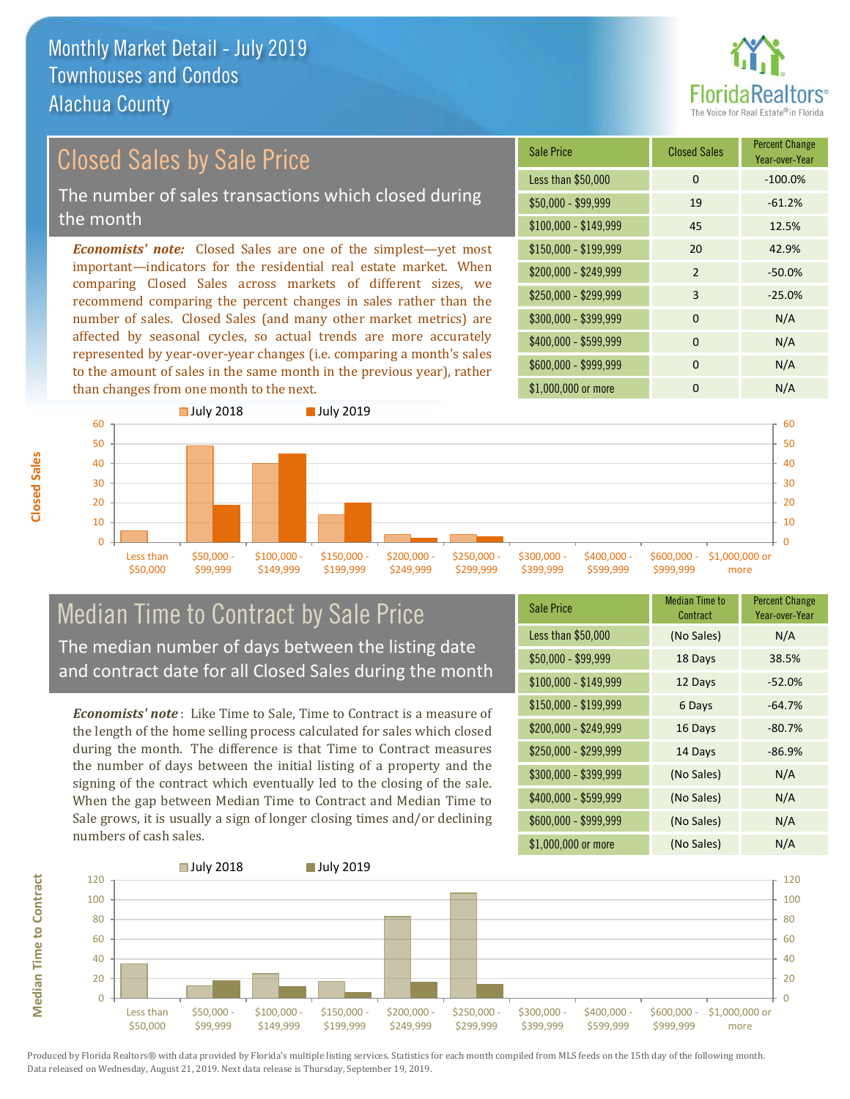

# *Economists' note:* Closed Sales are one of the simplest—yet most Closed Sales by Sale Price The number of sales transactions which closed during the month

important—indicators for the residential real estate market. When comparing Closed Sales across markets of different sizes, we recommend comparing the percent changes in sales rather than the number of sales. Closed Sales (and many other market metrics) are affected by seasonal cycles, so actual trends are more accurately represented by year-over-year changes (i.e. comparing a month's sales to the amount of sales in the same month in the previous year), rather than changes from one month to the next.

| <b>Sale Price</b>     | <b>Closed Sales</b> | <b>Percent Change</b><br>Year-over-Year |
|-----------------------|---------------------|-----------------------------------------|
| Less than \$50,000    | $\Omega$            | $-100.0%$                               |
| $$50,000 - $99,999$   | 19                  | $-61.2%$                                |
| $$100,000 - $149,999$ | 45                  | 12.5%                                   |
| $$150,000 - $199,999$ | 20                  | 42.9%                                   |
| \$200,000 - \$249,999 | $\mathcal{P}$       | $-50.0%$                                |
| \$250,000 - \$299,999 | 3                   | $-25.0%$                                |
| \$300,000 - \$399,999 | $\Omega$            | N/A                                     |
| \$400,000 - \$599,999 | $\Omega$            | N/A                                     |
| \$600,000 - \$999,999 | $\Omega$            | N/A                                     |
| \$1,000,000 or more   | O                   | N/A                                     |



### Median Time to Contract by Sale Price The median number of days between the listing date and contract date for all Closed Sales during the month

*Economists' note* : Like Time to Sale, Time to Contract is a measure of the length of the home selling process calculated for sales which closed during the month. The difference is that Time to Contract measures the number of days between the initial listing of a property and the signing of the contract which eventually led to the closing of the sale. When the gap between Median Time to Contract and Median Time to Sale grows, it is usually a sign of longer closing times and/or declining numbers of cash sales.

| <b>Sale Price</b>     | Median Time to<br>Contract | <b>Percent Change</b><br>Year-over-Year |
|-----------------------|----------------------------|-----------------------------------------|
| Less than \$50,000    | (No Sales)                 | N/A                                     |
| $$50,000 - $99,999$   | 18 Days                    | 38.5%                                   |
| $$100,000 - $149,999$ | 12 Days                    | $-52.0%$                                |
| $$150,000 - $199,999$ | 6 Days                     | $-64.7%$                                |
| $$200,000 - $249,999$ | 16 Days                    | $-80.7%$                                |
| \$250,000 - \$299,999 | 14 Days                    | $-86.9%$                                |
| \$300,000 - \$399,999 | (No Sales)                 | N/A                                     |
| \$400,000 - \$599,999 | (No Sales)                 | N/A                                     |
| \$600,000 - \$999,999 | (No Sales)                 | N/A                                     |
| \$1,000,000 or more   | (No Sales)                 | N/A                                     |



**Median Time to Contract**

Produced by Florida Realtors® with data provided by Florida's multiple listing services. Statistics for each month compiled from MLS feeds on the 15th day of the following month. Data released on Wednesday, August 21, 2019. Next data release is Thursday, September 19, 2019.

**Median Time to Contract**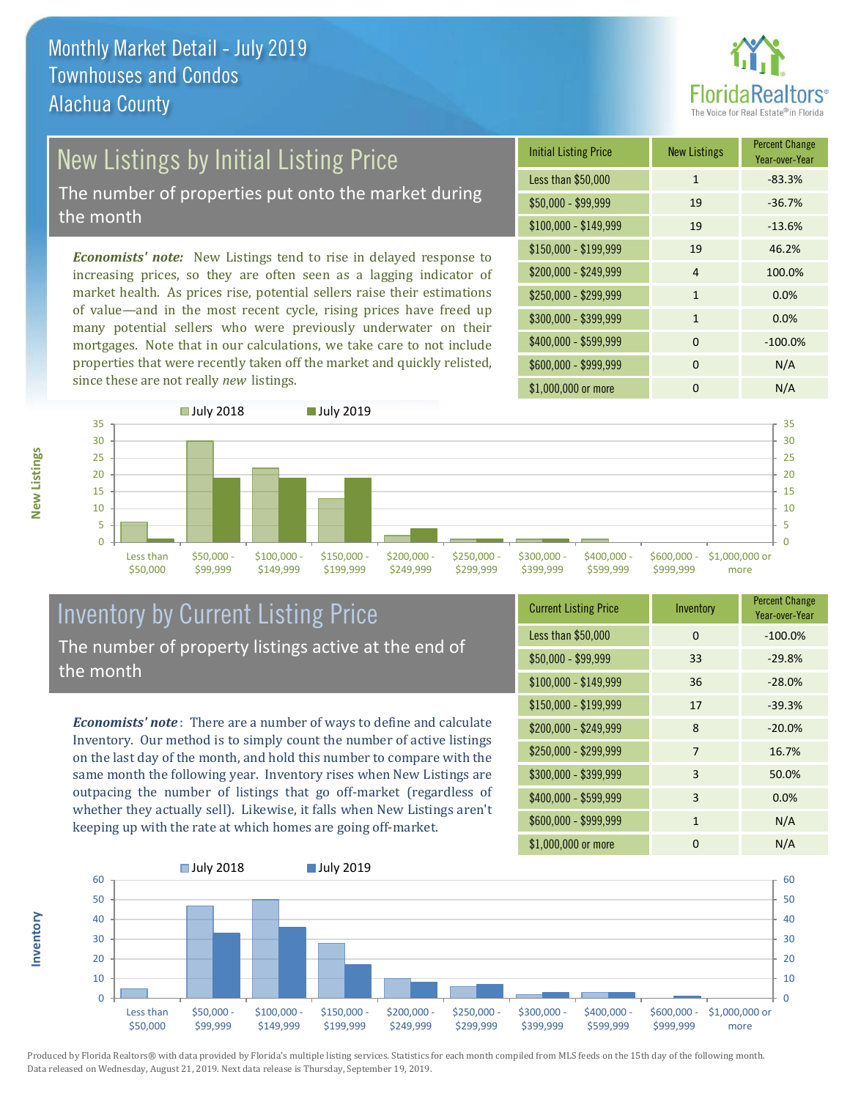

# New Listings by Initial Listing Price

The number of properties put onto the market during the month

*Economists' note:* New Listings tend to rise in delayed response to increasing prices, so they are often seen as a lagging indicator of market health. As prices rise, potential sellers raise their estimations of value—and in the most recent cycle, rising prices have freed up many potential sellers who were previously underwater on their mortgages. Note that in our calculations, we take care to not include properties that were recently taken off the market and quickly relisted, since these are not really *new* listings.

| <b>Initial Listing Price</b> | <b>New Listings</b> | <b>Percent Change</b><br>Year-over-Year |
|------------------------------|---------------------|-----------------------------------------|
| Less than \$50,000           | $\mathbf{1}$        | $-83.3%$                                |
| \$50,000 - \$99,999          | 19                  | $-36.7%$                                |
| $$100,000 - $149,999$        | 19                  | $-13.6%$                                |
| $$150,000 - $199,999$        | 19                  | 46.2%                                   |
| \$200,000 - \$249,999        | $\overline{4}$      | 100.0%                                  |
| \$250,000 - \$299,999        | $\mathbf{1}$        | 0.0%                                    |
| \$300,000 - \$399,999        | 1                   | 0.0%                                    |
| \$400,000 - \$599,999        | $\Omega$            | $-100.0%$                               |
| \$600,000 - \$999,999        | $\Omega$            | N/A                                     |
| \$1,000,000 or more          | n                   | N/A                                     |



## Inventory by Current Listing Price The number of property listings active at the end of the month

*Economists' note* : There are a number of ways to define and calculate Inventory. Our method is to simply count the number of active listings on the last day of the month, and hold this number to compare with the same month the following year. Inventory rises when New Listings are outpacing the number of listings that go off-market (regardless of whether they actually sell). Likewise, it falls when New Listings aren't keeping up with the rate at which homes are going off-market.

| <b>Current Listing Price</b> | Inventory    | <b>Percent Change</b><br>Year-over-Year |
|------------------------------|--------------|-----------------------------------------|
| Less than \$50,000           | $\Omega$     | $-100.0%$                               |
| $$50,000 - $99,999$          | 33           | $-29.8%$                                |
| $$100,000 - $149,999$        | 36           | $-28.0%$                                |
| $$150,000 - $199,999$        | 17           | $-39.3%$                                |
| \$200,000 - \$249,999        | 8            | $-20.0%$                                |
| \$250,000 - \$299,999        | 7            | 16.7%                                   |
| \$300,000 - \$399,999        | 3            | 50.0%                                   |
| \$400,000 - \$599,999        | 3            | 0.0%                                    |
| \$600,000 - \$999,999        | $\mathbf{1}$ | N/A                                     |
| \$1,000,000 or more          | 0            | N/A                                     |



Produced by Florida Realtors® with data provided by Florida's multiple listing services. Statistics for each month compiled from MLS feeds on the 15th day of the following month. Data released on Wednesday, August 21, 2019. Next data release is Thursday, September 19, 2019.

**Inventory**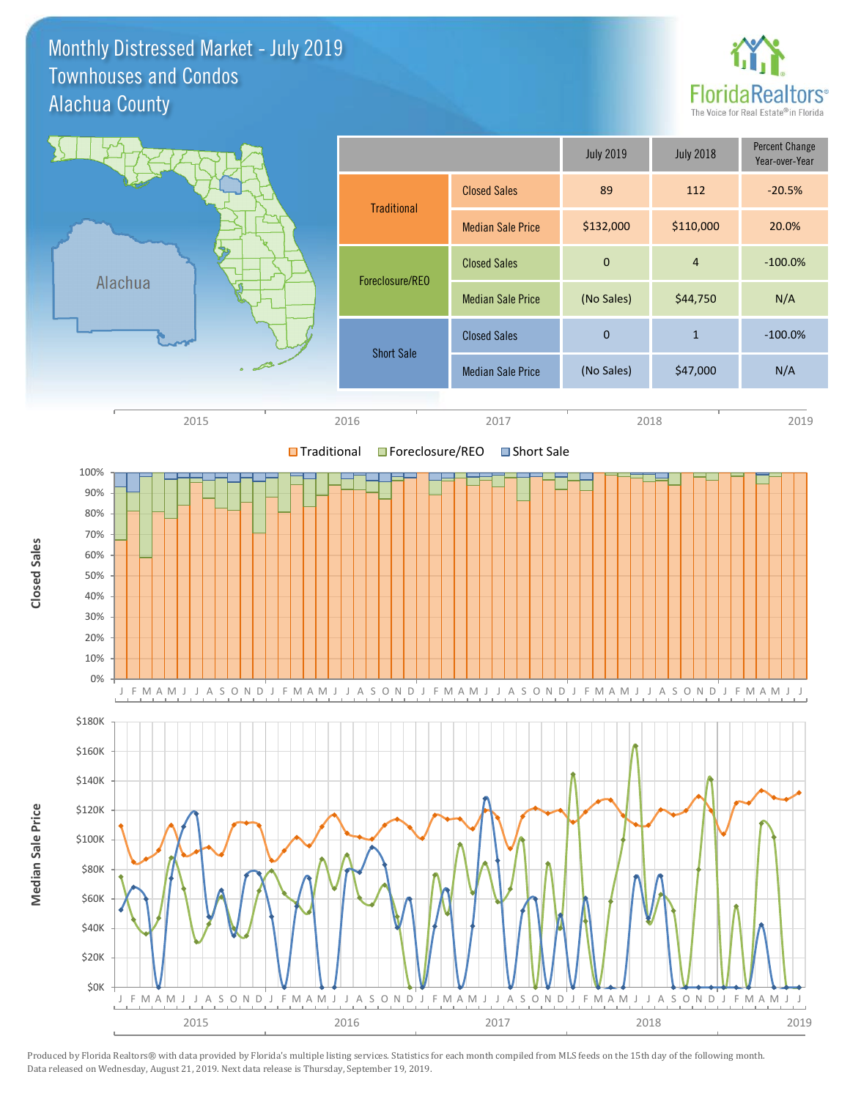Monthly Distressed Market - July 2019 Alachua County Townhouses and Condos



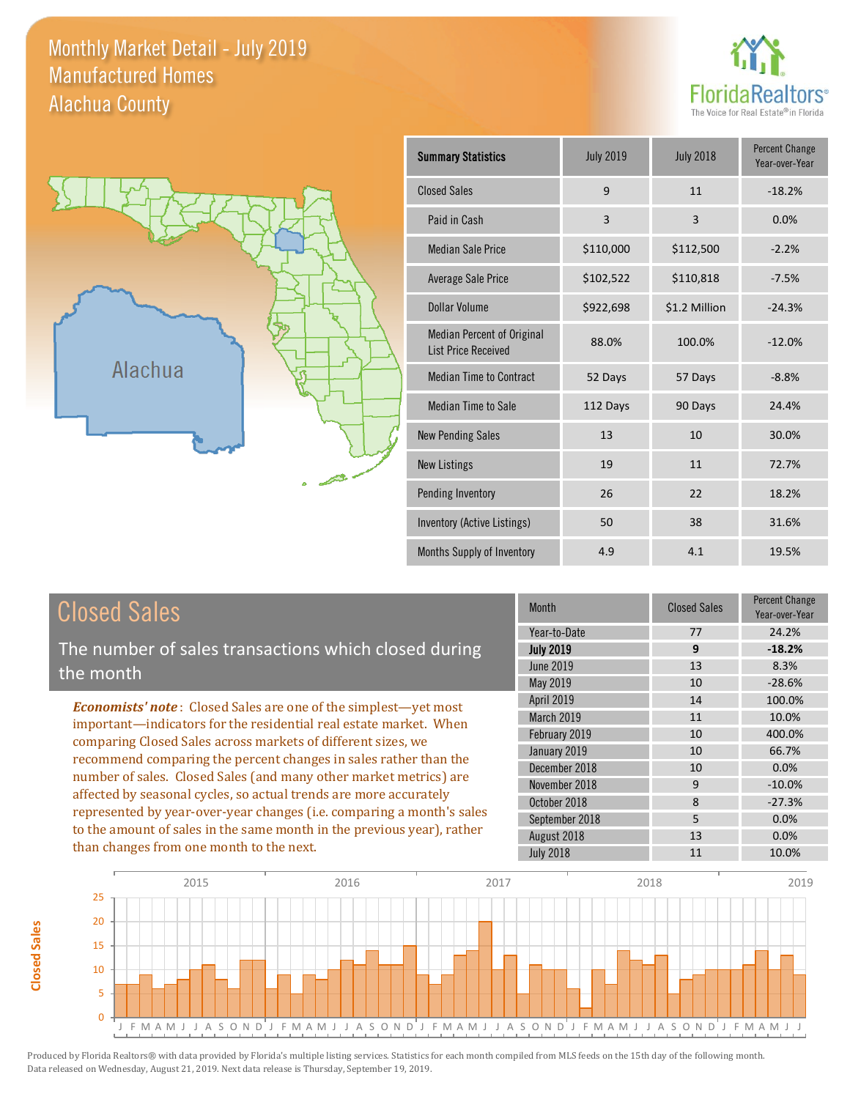Monthly Market Detail - July 2019 Alachua County Manufactured Homes

**Closed Sales**

**Closed Sales** 





| <b>Summary Statistics</b>                                       | <b>July 2019</b> | <b>July 2018</b> | <b>Percent Change</b><br>Year-over-Year |
|-----------------------------------------------------------------|------------------|------------------|-----------------------------------------|
| <b>Closed Sales</b>                                             | 9                | 11               | $-18.2%$                                |
| Paid in Cash                                                    | $\overline{3}$   | 3                | 0.0%                                    |
| <b>Median Sale Price</b>                                        | \$110,000        | \$112,500        | $-2.2%$                                 |
| Average Sale Price                                              | \$102,522        | \$110,818        | $-7.5%$                                 |
| Dollar Volume                                                   | \$922,698        | \$1.2 Million    | $-24.3%$                                |
| <b>Median Percent of Original</b><br><b>List Price Received</b> | 88.0%            | 100.0%           | $-12.0%$                                |
| <b>Median Time to Contract</b>                                  | 52 Days          | 57 Days          | $-8.8%$                                 |
| Median Time to Sale                                             | 112 Days         | 90 Days          | 24.4%                                   |
| <b>New Pending Sales</b>                                        | 13               | 10               | 30.0%                                   |
| <b>New Listings</b>                                             | 19               | 11               | 72.7%                                   |
| Pending Inventory                                               | 26               | 22               | 18.2%                                   |
| Inventory (Active Listings)                                     | 50               | 38               | 31.6%                                   |
| Months Supply of Inventory                                      | 4.9              | 4.1              | 19.5%                                   |

| <b>Closed Sales</b>                                                                                                                                                                                                                                                                                                                                                                                       | <b>Month</b>      | <b>Closed Sales</b> | <b>Percent Change</b><br>Year-over-Year |
|-----------------------------------------------------------------------------------------------------------------------------------------------------------------------------------------------------------------------------------------------------------------------------------------------------------------------------------------------------------------------------------------------------------|-------------------|---------------------|-----------------------------------------|
|                                                                                                                                                                                                                                                                                                                                                                                                           | Year-to-Date      | 77                  | 24.2%                                   |
| The number of sales transactions which closed during                                                                                                                                                                                                                                                                                                                                                      | <b>July 2019</b>  | 9                   | $-18.2%$                                |
| the month                                                                                                                                                                                                                                                                                                                                                                                                 | June 2019         | 13                  | 8.3%                                    |
|                                                                                                                                                                                                                                                                                                                                                                                                           | May 2019          | 10                  | $-28.6%$                                |
| <b>Economists' note:</b> Closed Sales are one of the simplest-yet most                                                                                                                                                                                                                                                                                                                                    | April 2019        | 14                  | 100.0%                                  |
| important-indicators for the residential real estate market. When                                                                                                                                                                                                                                                                                                                                         | <b>March 2019</b> | 11                  | 10.0%                                   |
| comparing Closed Sales across markets of different sizes, we                                                                                                                                                                                                                                                                                                                                              | February 2019     | 10                  | 400.0%                                  |
|                                                                                                                                                                                                                                                                                                                                                                                                           | January 2019      | 10                  | 66.7%                                   |
| recommend comparing the percent changes in sales rather than the<br>number of sales. Closed Sales (and many other market metrics) are<br>affected by seasonal cycles, so actual trends are more accurately<br>represented by year-over-year changes (i.e. comparing a month's sales<br>to the amount of sales in the same month in the previous year), rather<br>than changes from one month to the next. | December 2018     | 10                  | 0.0%                                    |
|                                                                                                                                                                                                                                                                                                                                                                                                           | November 2018     | 9                   | $-10.0\%$                               |
|                                                                                                                                                                                                                                                                                                                                                                                                           | October 2018      | 8                   | $-27.3%$                                |
|                                                                                                                                                                                                                                                                                                                                                                                                           | September 2018    | 5                   | 0.0%                                    |
|                                                                                                                                                                                                                                                                                                                                                                                                           | August 2018       | 13                  | 0.0%                                    |
|                                                                                                                                                                                                                                                                                                                                                                                                           | <b>July 2018</b>  | 11                  | 10.0%                                   |

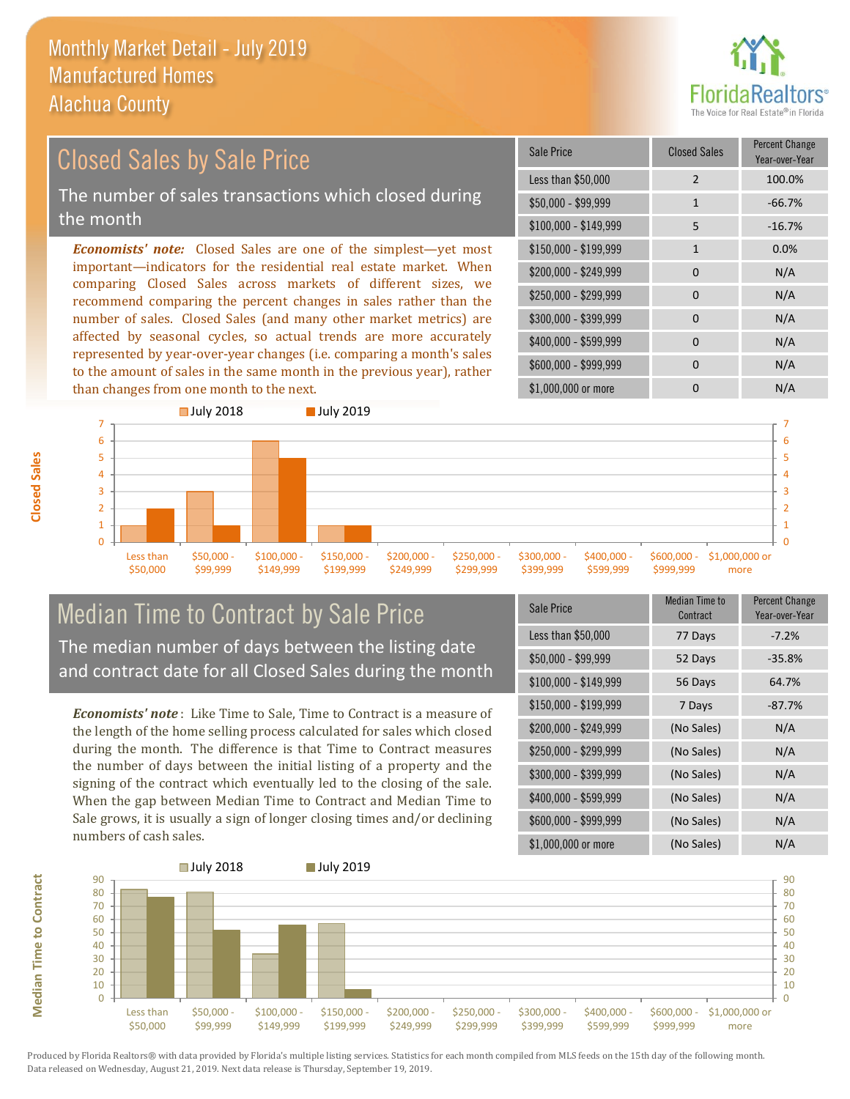

#### *Economists' note:* Closed Sales are one of the simplest—yet most important—indicators for the residential real estate market. When comparing Closed Sales across markets of different sizes, we recommend comparing the percent changes in sales rather than the number of sales. Closed Sales (and many other market metrics) are affected by seasonal cycles, so actual trends are more accurately represented by year-over-year changes (i.e. comparing a month's sales to the amount of sales in the same month in the previous year), rather than changes from one month to the next. \$1,000,000 or more 0 0 N/A \$250,000 - \$299,999 0 0 N/A \$300,000 - \$399,999 0 0 N/A  $$400,000 - $599,999$  0 N/A \$600,000 - \$999,999 0 0 N/A \$150,000 - \$199,999 1 0.0%  $$200,000 - $249,999$  0 N/A \$100,000 - \$149,999 5 -16.7% Sale Price Closed Sales Percent Change Year-over-Year Less than \$50,000 2 100.0%  $$50.000 - $99.999$  1 -66.7% Closed Sales by Sale Price The number of sales transactions which closed during the month



## Median Time to Contract by Sale Price The median number of days between the listing date and contract date for all Closed Sales during the month

*Economists' note* : Like Time to Sale, Time to Contract is a measure of the length of the home selling process calculated for sales which closed during the month. The difference is that Time to Contract measures the number of days between the initial listing of a property and the signing of the contract which eventually led to the closing of the sale. When the gap between Median Time to Contract and Median Time to Sale grows, it is usually a sign of longer closing times and/or declining numbers of cash sales.

| <b>Sale Price</b>     | <b>Median Time to</b><br>Contract | <b>Percent Change</b><br>Year-over-Year |
|-----------------------|-----------------------------------|-----------------------------------------|
| Less than \$50,000    | 77 Days                           | $-7.2%$                                 |
| \$50,000 - \$99,999   | 52 Days                           | $-35.8%$                                |
| $$100,000 - $149,999$ | 56 Days                           | 64.7%                                   |
| $$150,000 - $199,999$ | 7 Days                            | $-87.7%$                                |
| \$200,000 - \$249,999 | (No Sales)                        | N/A                                     |
| \$250,000 - \$299,999 | (No Sales)                        | N/A                                     |
| \$300,000 - \$399,999 | (No Sales)                        | N/A                                     |
| \$400,000 - \$599,999 | (No Sales)                        | N/A                                     |
| \$600,000 - \$999,999 | (No Sales)                        | N/A                                     |
| \$1,000,000 or more   | (No Sales)                        | N/A                                     |



Produced by Florida Realtors® with data provided by Florida's multiple listing services. Statistics for each month compiled from MLS feeds on the 15th day of the following month. Data released on Wednesday, August 21, 2019. Next data release is Thursday, September 19, 2019.

**Median Time to Contract**

**Median Time to Contract**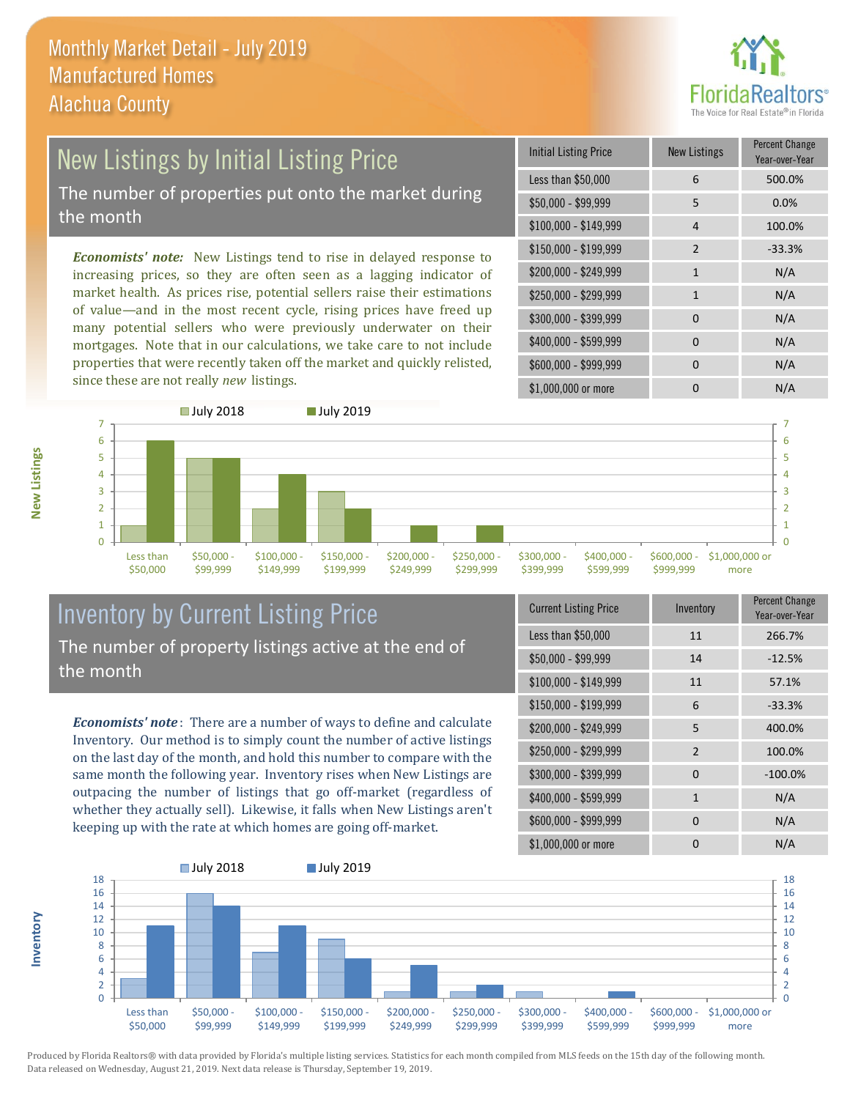

### New Listings by Initial Listing Price The number of properties put onto the market during the month

*Economists' note:* New Listings tend to rise in delayed response to increasing prices, so they are often seen as a lagging indicator of market health. As prices rise, potential sellers raise their estimations of value—and in the most recent cycle, rising prices have freed up many potential sellers who were previously underwater on their mortgages. Note that in our calculations, we take care to not include properties that were recently taken off the market and quickly relisted, since these are not really *new* listings.

| <b>Initial Listing Price</b> | <b>New Listings</b> | <b>Percent Change</b><br>Year-over-Year |
|------------------------------|---------------------|-----------------------------------------|
| Less than \$50,000           | 6                   | 500.0%                                  |
| \$50,000 - \$99,999          | 5                   | 0.0%                                    |
| $$100,000 - $149,999$        | 4                   | 100.0%                                  |
| $$150,000 - $199,999$        | $\overline{2}$      | $-33.3%$                                |
| \$200,000 - \$249,999        | $\mathbf{1}$        | N/A                                     |
| \$250,000 - \$299,999        | 1                   | N/A                                     |
| \$300,000 - \$399,999        | $\Omega$            | N/A                                     |
| \$400,000 - \$599,999        | $\Omega$            | N/A                                     |
| \$600,000 - \$999,999        | $\Omega$            | N/A                                     |
| \$1,000,000 or more          | n                   | N/A                                     |



## Inventory by Current Listing Price The number of property listings active at the end of the month

*Economists' note* : There are a number of ways to define and calculate Inventory. Our method is to simply count the number of active listings on the last day of the month, and hold this number to compare with the same month the following year. Inventory rises when New Listings are outpacing the number of listings that go off-market (regardless of whether they actually sell). Likewise, it falls when New Listings aren't keeping up with the rate at which homes are going off-market.

| <b>Current Listing Price</b> | Inventory      | Percent Change<br>Year-over-Year |
|------------------------------|----------------|----------------------------------|
| Less than \$50,000           | 11             | 266.7%                           |
| $$50,000 - $99,999$          | 14             | $-12.5%$                         |
| $$100,000 - $149,999$        | 11             | 57.1%                            |
| $$150,000 - $199,999$        | 6              | $-33.3%$                         |
| \$200,000 - \$249,999        | 5              | 400.0%                           |
| \$250,000 - \$299,999        | $\overline{2}$ | 100.0%                           |
| \$300,000 - \$399,999        | 0              | $-100.0%$                        |
| \$400,000 - \$599,999        | $\mathbf{1}$   | N/A                              |
| \$600,000 - \$999,999        | 0              | N/A                              |
| \$1,000,000 or more          | n              | N/A                              |



Produced by Florida Realtors® with data provided by Florida's multiple listing services. Statistics for each month compiled from MLS feeds on the 15th day of the following month. Data released on Wednesday, August 21, 2019. Next data release is Thursday, September 19, 2019.

**Inventory**